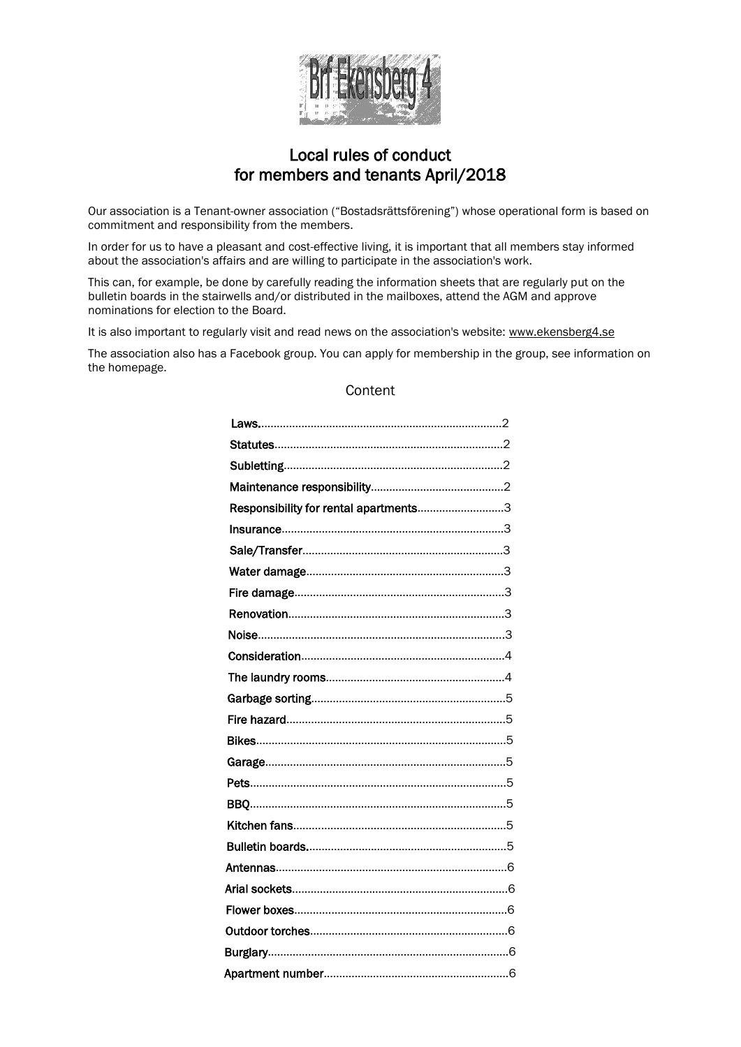

# Local rules of conduct for members and tenants April/2018

Our association is a Tenant-owner association ("Bostadsrättsförening") whose operational form is based on commitment and responsibility from the members.

In order for us to have a pleasant and cost-effective living, it is important that all members stay informed about the association's affairs and are willing to participate in the association's work.

This can, for example, be done by carefully reading the information sheets that are regularly put on the bulletin boards in the stairwells and/or distributed in the mailboxes, attend the AGM and approve nominations for election to the Board.

It is also important to regularly visit and read news on the association's website: www.ekensberg4.se

The association also has a Facebook group. You can apply for membership in the group, see information on the homepage.

# **Content**

| Responsibility for rental apartments3 |  |
|---------------------------------------|--|
|                                       |  |
|                                       |  |
|                                       |  |
|                                       |  |
|                                       |  |
|                                       |  |
|                                       |  |
|                                       |  |
|                                       |  |
|                                       |  |
|                                       |  |
|                                       |  |
|                                       |  |
|                                       |  |
|                                       |  |
|                                       |  |
|                                       |  |
|                                       |  |
|                                       |  |
|                                       |  |
|                                       |  |
|                                       |  |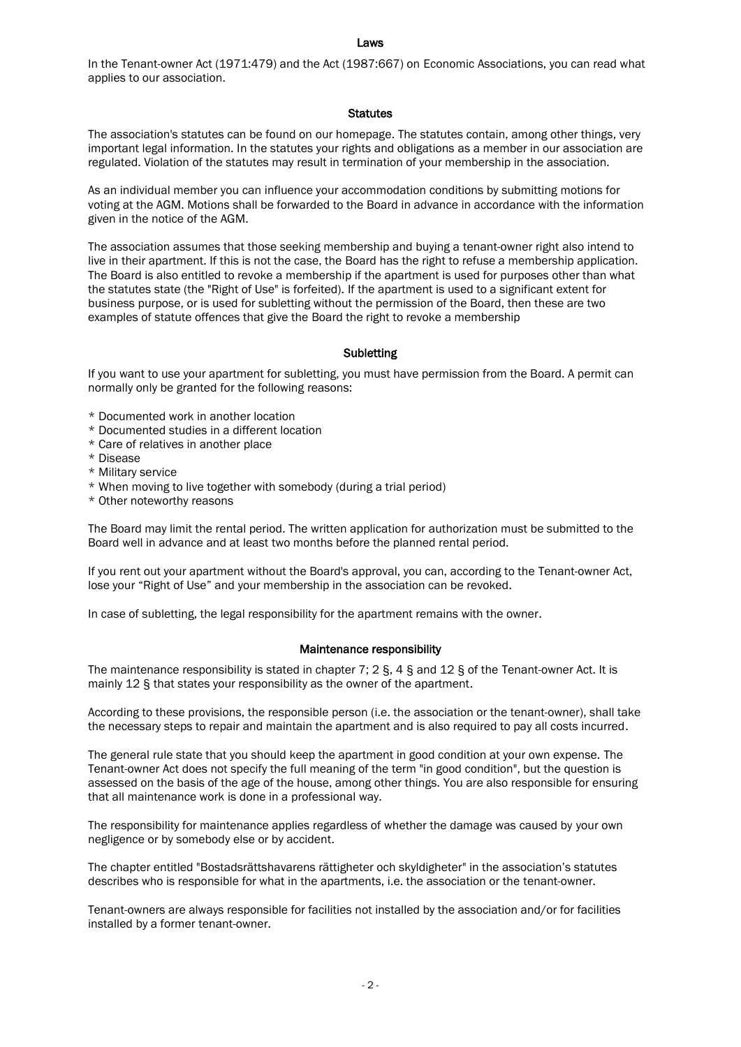#### Laws

In the Tenant-owner Act (1971:479) and the Act (1987:667) on Economic Associations, you can read what applies to our association.

#### **Statutes**

The association's statutes can be found on our homepage. The statutes contain, among other things, very important legal information. In the statutes your rights and obligations as a member in our association are regulated. Violation of the statutes may result in termination of your membership in the association.

As an individual member you can influence your accommodation conditions by submitting motions for voting at the AGM. Motions shall be forwarded to the Board in advance in accordance with the information given in the notice of the AGM.

The association assumes that those seeking membership and buying a tenant-owner right also intend to live in their apartment. If this is not the case, the Board has the right to refuse a membership application. The Board is also entitled to revoke a membership if the apartment is used for purposes other than what the statutes state (the "Right of Use" is forfeited). If the apartment is used to a significant extent for business purpose, or is used for subletting without the permission of the Board, then these are two examples of statute offences that give the Board the right to revoke a membership

# **Subletting**

If you want to use your apartment for subletting, you must have permission from the Board. A permit can normally only be granted for the following reasons:

- \* Documented work in another location
- \* Documented studies in a different location
- \* Care of relatives in another place
- \* Disease
- \* Military service
- \* When moving to live together with somebody (during a trial period)
- \* Other noteworthy reasons

The Board may limit the rental period. The written application for authorization must be submitted to the Board well in advance and at least two months before the planned rental period.

If you rent out your apartment without the Board's approval, you can, according to the Tenant-owner Act, lose your "Right of Use" and your membership in the association can be revoked.

In case of subletting, the legal responsibility for the apartment remains with the owner.

# Maintenance responsibility

The maintenance responsibility is stated in chapter 7; 2 §, 4 § and 12 § of the Tenant-owner Act. It is mainly 12 § that states your responsibility as the owner of the apartment.

According to these provisions, the responsible person (i.e. the association or the tenant-owner), shall take the necessary steps to repair and maintain the apartment and is also required to pay all costs incurred.

The general rule state that you should keep the apartment in good condition at your own expense. The Tenant-owner Act does not specify the full meaning of the term "in good condition", but the question is assessed on the basis of the age of the house, among other things. You are also responsible for ensuring that all maintenance work is done in a professional way.

The responsibility for maintenance applies regardless of whether the damage was caused by your own negligence or by somebody else or by accident.

The chapter entitled "Bostadsrättshavarens rättigheter och skyldigheter" in the association's statutes describes who is responsible for what in the apartments, i.e. the association or the tenant-owner.

Tenant-owners are always responsible for facilities not installed by the association and/or for facilities installed by a former tenant-owner.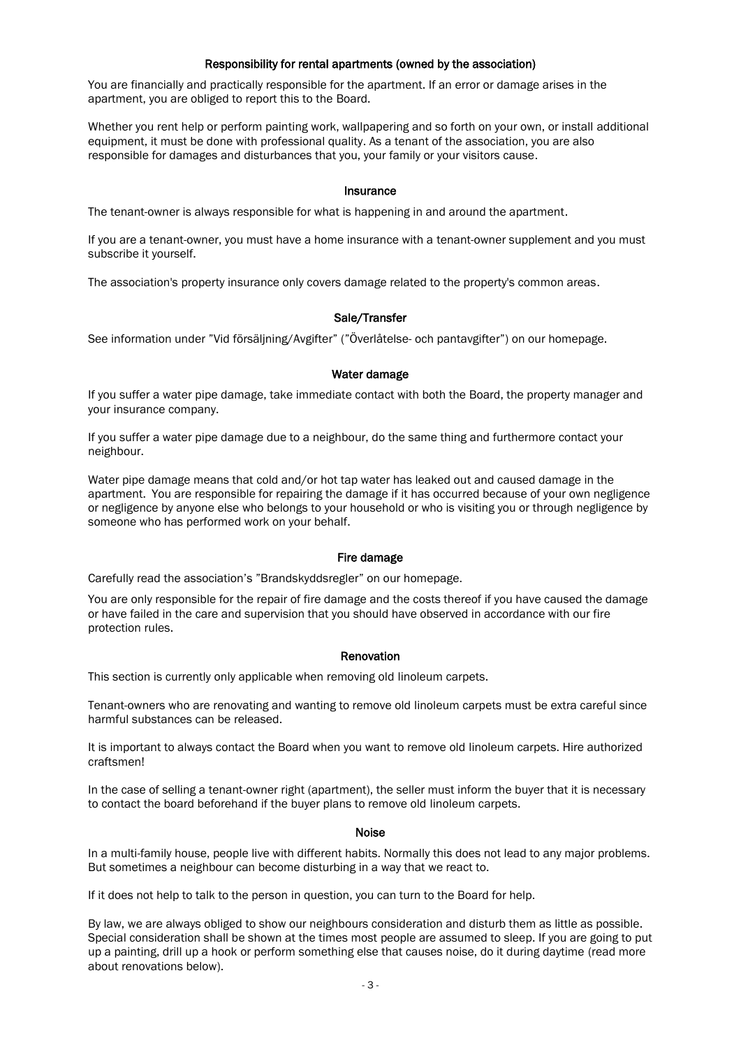# Responsibility for rental apartments (owned by the association)

You are financially and practically responsible for the apartment. If an error or damage arises in the apartment, you are obliged to report this to the Board.

Whether you rent help or perform painting work, wallpapering and so forth on your own, or install additional equipment, it must be done with professional quality. As a tenant of the association, you are also responsible for damages and disturbances that you, your family or your visitors cause.

### Insurance

The tenant-owner is always responsible for what is happening in and around the apartment.

If you are a tenant-owner, you must have a home insurance with a tenant-owner supplement and you must subscribe it yourself.

The association's property insurance only covers damage related to the property's common areas.

# Sale/Transfer

See information under "Vid försäljning/Avgifter" ("Överlåtelse- och pantavgifter") on our homepage.

# Water damage

If you suffer a water pipe damage, take immediate contact with both the Board, the property manager and your insurance company.

If you suffer a water pipe damage due to a neighbour, do the same thing and furthermore contact your neighbour.

Water pipe damage means that cold and/or hot tap water has leaked out and caused damage in the apartment. You are responsible for repairing the damage if it has occurred because of your own negligence or negligence by anyone else who belongs to your household or who is visiting you or through negligence by someone who has performed work on your behalf.

# Fire damage

Carefully read the association's "Brandskyddsregler" on our homepage.

You are only responsible for the repair of fire damage and the costs thereof if you have caused the damage or have failed in the care and supervision that you should have observed in accordance with our fire protection rules.

#### Renovation

This section is currently only applicable when removing old linoleum carpets.

Tenant-owners who are renovating and wanting to remove old linoleum carpets must be extra careful since harmful substances can be released.

It is important to always contact the Board when you want to remove old linoleum carpets. Hire authorized craftsmen!

In the case of selling a tenant-owner right (apartment), the seller must inform the buyer that it is necessary to contact the board beforehand if the buyer plans to remove old linoleum carpets.

#### Noise

In a multi-family house, people live with different habits. Normally this does not lead to any major problems. But sometimes a neighbour can become disturbing in a way that we react to.

If it does not help to talk to the person in question, you can turn to the Board for help.

By law, we are always obliged to show our neighbours consideration and disturb them as little as possible. Special consideration shall be shown at the times most people are assumed to sleep. If you are going to put up a painting, drill up a hook or perform something else that causes noise, do it during daytime (read more about renovations below).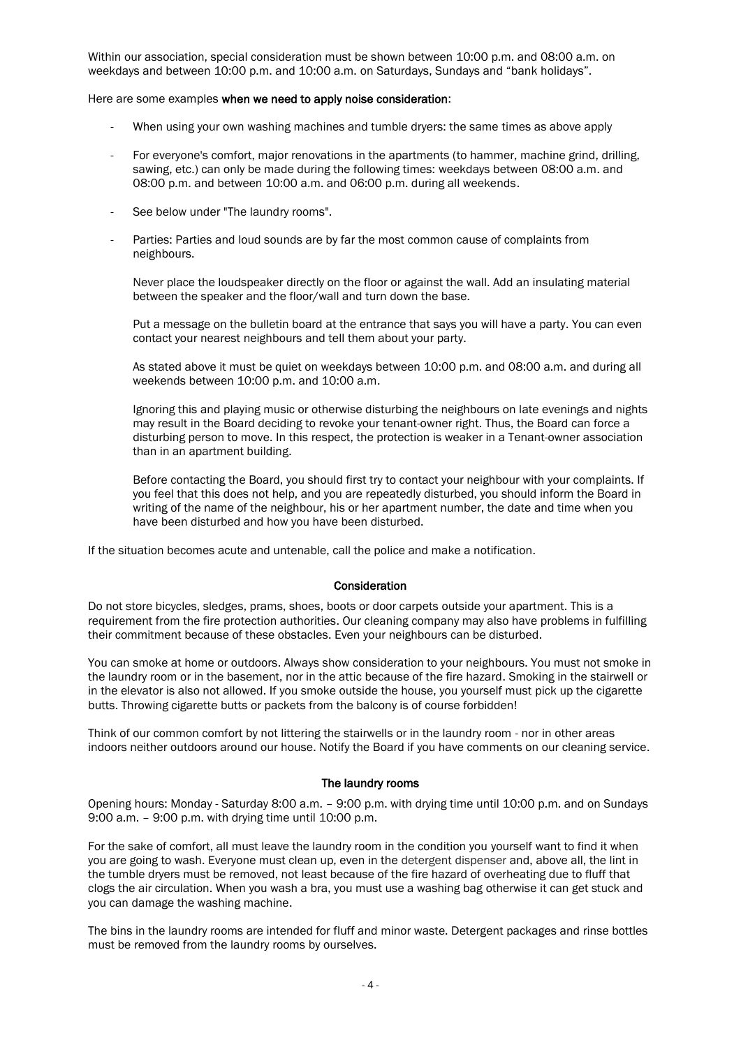Within our association, special consideration must be shown between 10:00 p.m. and 08:00 a.m. on weekdays and between 10:00 p.m. and 10:00 a.m. on Saturdays, Sundays and "bank holidays".

Here are some examples when we need to apply noise consideration:

- When using your own washing machines and tumble dryers: the same times as above apply
- For everyone's comfort, major renovations in the apartments (to hammer, machine grind, drilling, sawing, etc.) can only be made during the following times: weekdays between 08:00 a.m. and 08:00 p.m. and between 10:00 a.m. and 06:00 p.m. during all weekends.
- See below under "The laundry rooms".
- Parties: Parties and loud sounds are by far the most common cause of complaints from neighbours.

Never place the loudspeaker directly on the floor or against the wall. Add an insulating material between the speaker and the floor/wall and turn down the base.

Put a message on the bulletin board at the entrance that says you will have a party. You can even contact your nearest neighbours and tell them about your party.

As stated above it must be quiet on weekdays between 10:00 p.m. and 08:00 a.m. and during all weekends between 10:00 p.m. and 10:00 a.m.

Ignoring this and playing music or otherwise disturbing the neighbours on late evenings and nights may result in the Board deciding to revoke your tenant-owner right. Thus, the Board can force a disturbing person to move. In this respect, the protection is weaker in a Tenant-owner association than in an apartment building.

Before contacting the Board, you should first try to contact your neighbour with your complaints. If you feel that this does not help, and you are repeatedly disturbed, you should inform the Board in writing of the name of the neighbour, his or her apartment number, the date and time when you have been disturbed and how you have been disturbed.

If the situation becomes acute and untenable, call the police and make a notification.

# **Consideration**

Do not store bicycles, sledges, prams, shoes, boots or door carpets outside your apartment. This is a requirement from the fire protection authorities. Our cleaning company may also have problems in fulfilling their commitment because of these obstacles. Even your neighbours can be disturbed.

You can smoke at home or outdoors. Always show consideration to your neighbours. You must not smoke in the laundry room or in the basement, nor in the attic because of the fire hazard. Smoking in the stairwell or in the elevator is also not allowed. If you smoke outside the house, you yourself must pick up the cigarette butts. Throwing cigarette butts or packets from the balcony is of course forbidden!

Think of our common comfort by not littering the stairwells or in the laundry room - nor in other areas indoors neither outdoors around our house. Notify the Board if you have comments on our cleaning service.

#### The laundry rooms

Opening hours: Monday - Saturday 8:00 a.m. – 9:00 p.m. with drying time until 10:00 p.m. and on Sundays 9:00 a.m. – 9:00 p.m. with drying time until 10:00 p.m.

For the sake of comfort, all must leave the laundry room in the condition you yourself want to find it when you are going to wash. Everyone must clean up, even in the detergent dispenser and, above all, the lint in the tumble dryers must be removed, not least because of the fire hazard of overheating due to fluff that clogs the air circulation. When you wash a bra, you must use a washing bag otherwise it can get stuck and you can damage the washing machine.

The bins in the laundry rooms are intended for fluff and minor waste. Detergent packages and rinse bottles must be removed from the laundry rooms by ourselves.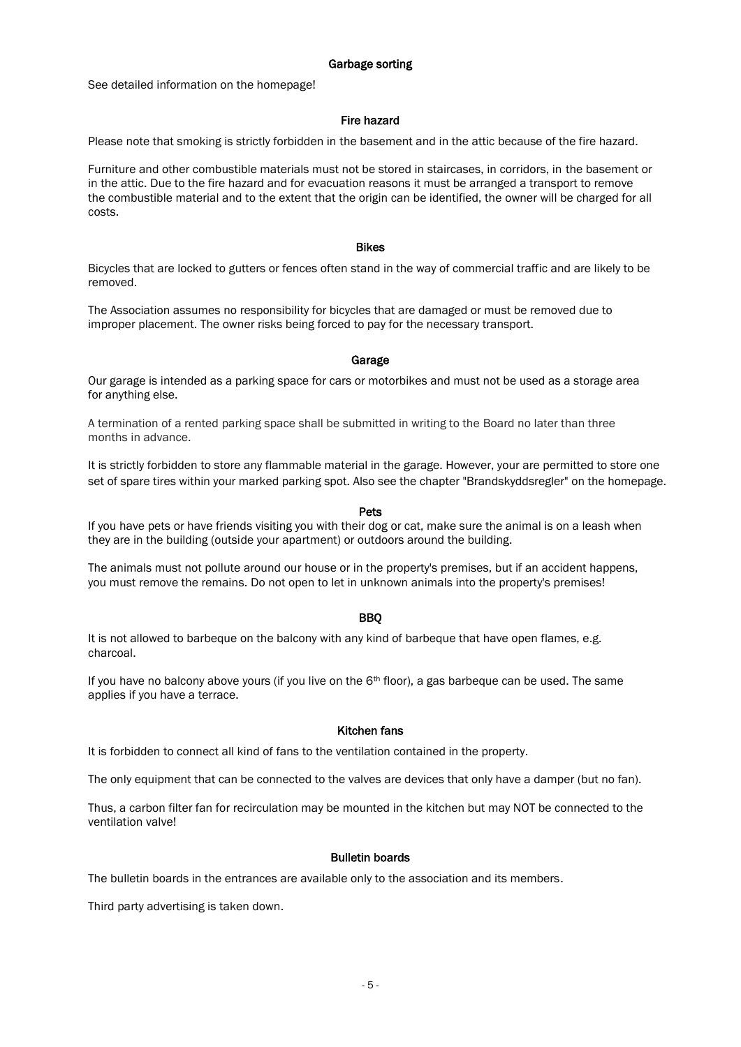#### Garbage sorting

See detailed information on the homepage!

# Fire hazard

Please note that smoking is strictly forbidden in the basement and in the attic because of the fire hazard.

Furniture and other combustible materials must not be stored in staircases, in corridors, in the basement or in the attic. Due to the fire hazard and for evacuation reasons it must be arranged a transport to remove the combustible material and to the extent that the origin can be identified, the owner will be charged for all costs.

#### Bikes

Bicycles that are locked to gutters or fences often stand in the way of commercial traffic and are likely to be removed.

The Association assumes no responsibility for bicycles that are damaged or must be removed due to improper placement. The owner risks being forced to pay for the necessary transport.

#### Garage

Our garage is intended as a parking space for cars or motorbikes and must not be used as a storage area for anything else.

A termination of a rented parking space shall be submitted in writing to the Board no later than three months in advance.

It is strictly forbidden to store any flammable material in the garage. However, your are permitted to store one set of spare tires within your marked parking spot. Also see the chapter "Brandskyddsregler" on the homepage.

#### Pets

If you have pets or have friends visiting you with their dog or cat, make sure the animal is on a leash when they are in the building (outside your apartment) or outdoors around the building.

The animals must not pollute around our house or in the property's premises, but if an accident happens, you must remove the remains. Do not open to let in unknown animals into the property's premises!

# BBQ

It is not allowed to barbeque on the balcony with any kind of barbeque that have open flames, e.g. charcoal.

If you have no balcony above yours (if you live on the  $6<sup>th</sup>$  floor), a gas barbeque can be used. The same applies if you have a terrace.

#### Kitchen fans

It is forbidden to connect all kind of fans to the ventilation contained in the property.

The only equipment that can be connected to the valves are devices that only have a damper (but no fan).

Thus, a carbon filter fan for recirculation may be mounted in the kitchen but may NOT be connected to the ventilation valve!

#### Bulletin boards

The bulletin boards in the entrances are available only to the association and its members.

Third party advertising is taken down.